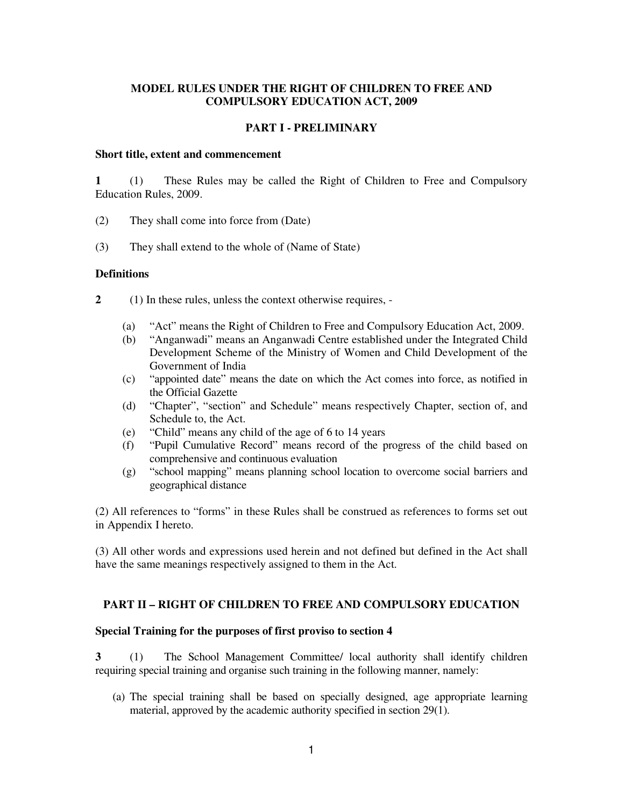### **MODEL RULES UNDER THE RIGHT OF CHILDREN TO FREE AND COMPULSORY EDUCATION ACT, 2009**

#### **PART I - PRELIMINARY**

#### **Short title, extent and commencement**

**1** (1) These Rules may be called the Right of Children to Free and Compulsory Education Rules, 2009.

- (2) They shall come into force from (Date)
- (3) They shall extend to the whole of (Name of State)

#### **Definitions**

- **2** (1) In these rules, unless the context otherwise requires,
	- (a) "Act" means the Right of Children to Free and Compulsory Education Act, 2009.
	- (b) "Anganwadi" means an Anganwadi Centre established under the Integrated Child Development Scheme of the Ministry of Women and Child Development of the Government of India
	- (c) "appointed date" means the date on which the Act comes into force, as notified in the Official Gazette
	- (d) "Chapter", "section" and Schedule" means respectively Chapter, section of, and Schedule to, the Act.
	- (e) "Child" means any child of the age of 6 to 14 years
	- (f) "Pupil Cumulative Record" means record of the progress of the child based on comprehensive and continuous evaluation
	- (g) "school mapping" means planning school location to overcome social barriers and geographical distance

(2) All references to "forms" in these Rules shall be construed as references to forms set out in Appendix I hereto.

(3) All other words and expressions used herein and not defined but defined in the Act shall have the same meanings respectively assigned to them in the Act.

#### **PART II – RIGHT OF CHILDREN TO FREE AND COMPULSORY EDUCATION**

#### **Special Training for the purposes of first proviso to section 4**

**3** (1) The School Management Committee/ local authority shall identify children requiring special training and organise such training in the following manner, namely:

(a) The special training shall be based on specially designed, age appropriate learning material, approved by the academic authority specified in section 29(1).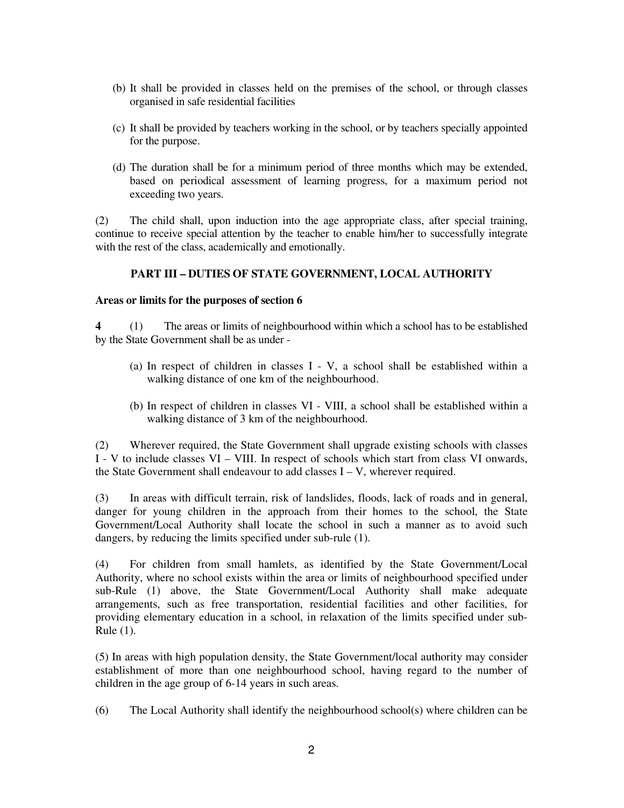- (b) It shall be provided in classes held on the premises of the school, or through classes organised in safe residential facilities
- (c) It shall be provided by teachers working in the school, or by teachers specially appointed for the purpose.
- (d) The duration shall be for a minimum period of three months which may be extended, based on periodical assessment of learning progress, for a maximum period not exceeding two years.

(2) The child shall, upon induction into the age appropriate class, after special training, continue to receive special attention by the teacher to enable him/her to successfully integrate with the rest of the class, academically and emotionally.

# **PART III – DUTIES OF STATE GOVERNMENT, LOCAL AUTHORITY**

### **Areas or limits for the purposes of section 6**

**4** (1) The areas or limits of neighbourhood within which a school has to be established by the State Government shall be as under -

- (a) In respect of children in classes I V, a school shall be established within a walking distance of one km of the neighbourhood.
- (b) In respect of children in classes VI VIII, a school shall be established within a walking distance of 3 km of the neighbourhood.

(2) Wherever required, the State Government shall upgrade existing schools with classes I - V to include classes VI – VIII. In respect of schools which start from class VI onwards, the State Government shall endeavour to add classes I – V, wherever required.

(3) In areas with difficult terrain, risk of landslides, floods, lack of roads and in general, danger for young children in the approach from their homes to the school, the State Government/Local Authority shall locate the school in such a manner as to avoid such dangers, by reducing the limits specified under sub-rule (1).

(4) For children from small hamlets, as identified by the State Government/Local Authority, where no school exists within the area or limits of neighbourhood specified under sub-Rule (1) above, the State Government/Local Authority shall make adequate arrangements, such as free transportation, residential facilities and other facilities, for providing elementary education in a school, in relaxation of the limits specified under sub-Rule (1).

(5) In areas with high population density, the State Government/local authority may consider establishment of more than one neighbourhood school, having regard to the number of children in the age group of 6-14 years in such areas.

(6) The Local Authority shall identify the neighbourhood school(s) where children can be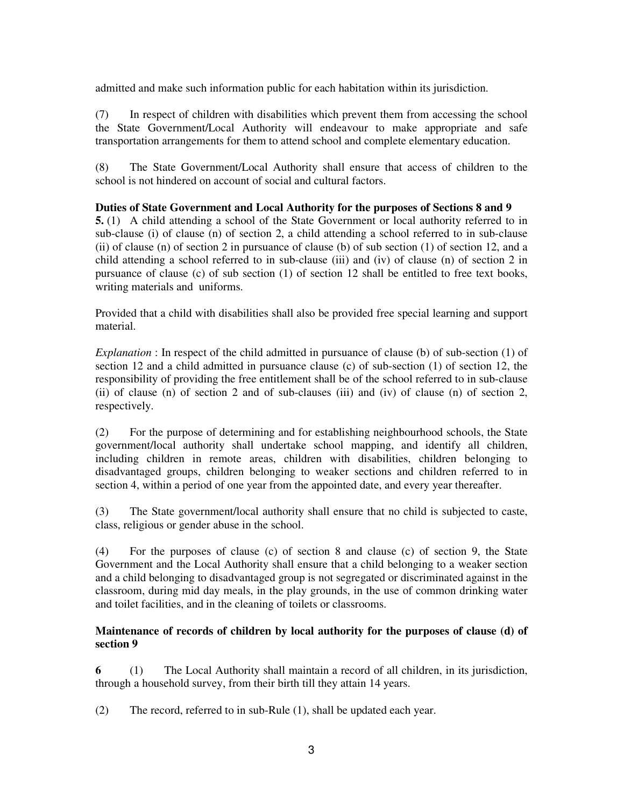admitted and make such information public for each habitation within its jurisdiction.

(7) In respect of children with disabilities which prevent them from accessing the school the State Government/Local Authority will endeavour to make appropriate and safe transportation arrangements for them to attend school and complete elementary education.

(8) The State Government/Local Authority shall ensure that access of children to the school is not hindered on account of social and cultural factors.

## **Duties of State Government and Local Authority for the purposes of Sections 8 and 9**

**5.** (1) A child attending a school of the State Government or local authority referred to in sub-clause (i) of clause (n) of section 2, a child attending a school referred to in sub-clause (ii) of clause (n) of section 2 in pursuance of clause (b) of sub section (1) of section 12, and a child attending a school referred to in sub-clause (iii) and (iv) of clause (n) of section 2 in pursuance of clause (c) of sub section (1) of section 12 shall be entitled to free text books, writing materials and uniforms.

Provided that a child with disabilities shall also be provided free special learning and support material.

*Explanation* : In respect of the child admitted in pursuance of clause (b) of sub-section (1) of section 12 and a child admitted in pursuance clause (c) of sub-section (1) of section 12, the responsibility of providing the free entitlement shall be of the school referred to in sub-clause (ii) of clause (n) of section 2 and of sub-clauses (iii) and (iv) of clause (n) of section 2, respectively.

(2) For the purpose of determining and for establishing neighbourhood schools, the State government/local authority shall undertake school mapping, and identify all children, including children in remote areas, children with disabilities, children belonging to disadvantaged groups, children belonging to weaker sections and children referred to in section 4, within a period of one year from the appointed date, and every year thereafter.

(3) The State government/local authority shall ensure that no child is subjected to caste, class, religious or gender abuse in the school.

(4) For the purposes of clause (c) of section 8 and clause (c) of section 9, the State Government and the Local Authority shall ensure that a child belonging to a weaker section and a child belonging to disadvantaged group is not segregated or discriminated against in the classroom, during mid day meals, in the play grounds, in the use of common drinking water and toilet facilities, and in the cleaning of toilets or classrooms.

## **Maintenance of records of children by local authority for the purposes of clause (d) of section 9**

**6** (1) The Local Authority shall maintain a record of all children, in its jurisdiction, through a household survey, from their birth till they attain 14 years.

(2) The record, referred to in sub-Rule (1), shall be updated each year.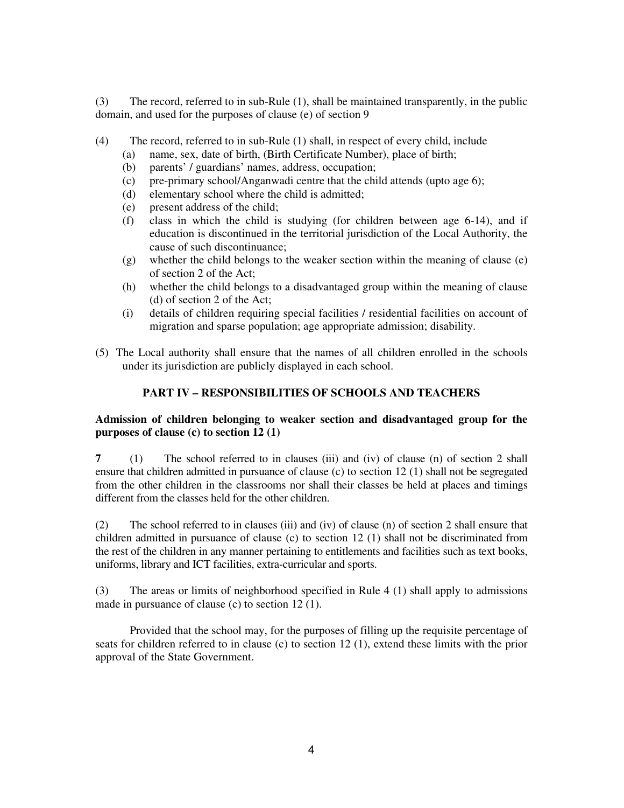(3) The record, referred to in sub-Rule (1), shall be maintained transparently, in the public domain, and used for the purposes of clause (e) of section 9

- (4) The record, referred to in sub-Rule (1) shall, in respect of every child, include
	- (a) name, sex, date of birth, (Birth Certificate Number), place of birth;
	- (b) parents' / guardians' names, address, occupation;
	- (c) pre-primary school/Anganwadi centre that the child attends (upto age 6);
	- (d) elementary school where the child is admitted;
	- (e) present address of the child;
	- (f) class in which the child is studying (for children between age 6-14), and if education is discontinued in the territorial jurisdiction of the Local Authority, the cause of such discontinuance;
	- (g) whether the child belongs to the weaker section within the meaning of clause (e) of section 2 of the Act;
	- (h) whether the child belongs to a disadvantaged group within the meaning of clause (d) of section 2 of the Act;
	- (i) details of children requiring special facilities / residential facilities on account of migration and sparse population; age appropriate admission; disability.
- (5) The Local authority shall ensure that the names of all children enrolled in the schools under its jurisdiction are publicly displayed in each school.

# **PART IV – RESPONSIBILITIES OF SCHOOLS AND TEACHERS**

## **Admission of children belonging to weaker section and disadvantaged group for the purposes of clause (c) to section 12 (1)**

**7** (1) The school referred to in clauses (iii) and (iv) of clause (n) of section 2 shall ensure that children admitted in pursuance of clause (c) to section 12 (1) shall not be segregated from the other children in the classrooms nor shall their classes be held at places and timings different from the classes held for the other children.

(2) The school referred to in clauses (iii) and (iv) of clause (n) of section 2 shall ensure that children admitted in pursuance of clause (c) to section 12 (1) shall not be discriminated from the rest of the children in any manner pertaining to entitlements and facilities such as text books, uniforms, library and ICT facilities, extra-curricular and sports.

(3) The areas or limits of neighborhood specified in Rule 4 (1) shall apply to admissions made in pursuance of clause (c) to section 12 (1).

Provided that the school may, for the purposes of filling up the requisite percentage of seats for children referred to in clause (c) to section 12 (1), extend these limits with the prior approval of the State Government.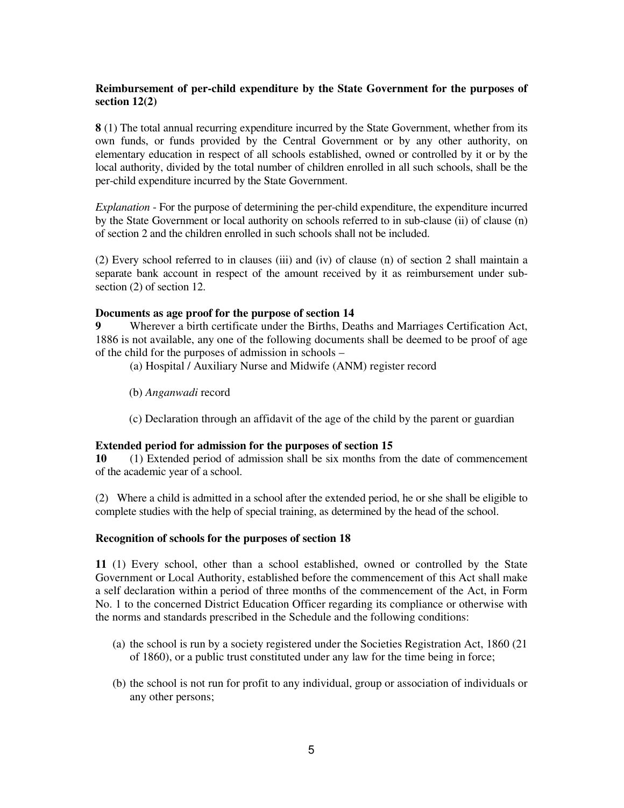# **Reimbursement of per-child expenditure by the State Government for the purposes of section 12(2)**

**8** (1) The total annual recurring expenditure incurred by the State Government, whether from its own funds, or funds provided by the Central Government or by any other authority, on elementary education in respect of all schools established, owned or controlled by it or by the local authority, divided by the total number of children enrolled in all such schools, shall be the per-child expenditure incurred by the State Government.

*Explanation* - For the purpose of determining the per-child expenditure, the expenditure incurred by the State Government or local authority on schools referred to in sub-clause (ii) of clause (n) of section 2 and the children enrolled in such schools shall not be included.

(2) Every school referred to in clauses (iii) and (iv) of clause (n) of section 2 shall maintain a separate bank account in respect of the amount received by it as reimbursement under subsection (2) of section 12.

#### **Documents as age proof for the purpose of section 14**

**9** Wherever a birth certificate under the Births, Deaths and Marriages Certification Act, 1886 is not available, any one of the following documents shall be deemed to be proof of age of the child for the purposes of admission in schools –

(a) Hospital / Auxiliary Nurse and Midwife (ANM) register record

(b) *Anganwadi* record

(c) Declaration through an affidavit of the age of the child by the parent or guardian

#### **Extended period for admission for the purposes of section 15**

**10** (1) Extended period of admission shall be six months from the date of commencement of the academic year of a school.

(2) Where a child is admitted in a school after the extended period, he or she shall be eligible to complete studies with the help of special training, as determined by the head of the school.

#### **Recognition of schools for the purposes of section 18**

**11** (1) Every school, other than a school established, owned or controlled by the State Government or Local Authority, established before the commencement of this Act shall make a self declaration within a period of three months of the commencement of the Act, in Form No. 1 to the concerned District Education Officer regarding its compliance or otherwise with the norms and standards prescribed in the Schedule and the following conditions:

- (a) the school is run by a society registered under the Societies Registration Act, 1860 (21 of 1860), or a public trust constituted under any law for the time being in force;
- (b) the school is not run for profit to any individual, group or association of individuals or any other persons;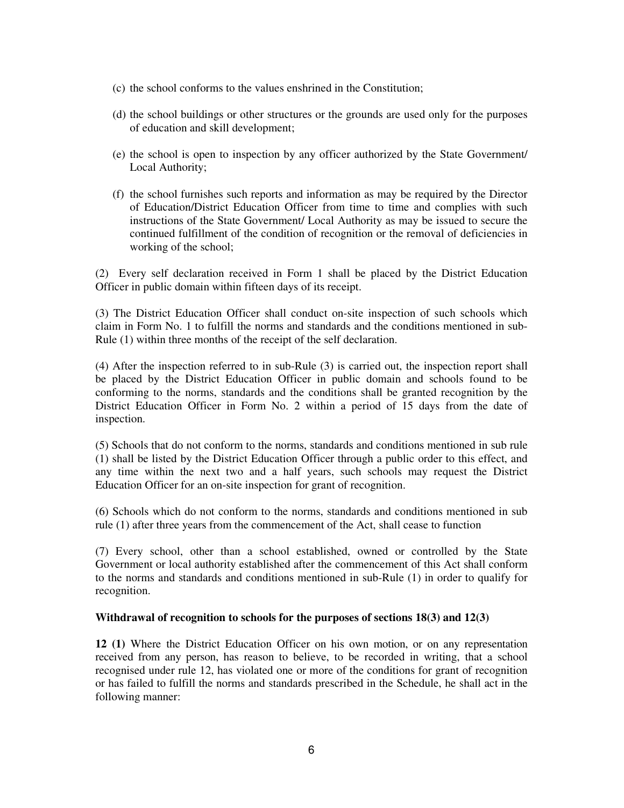- (c) the school conforms to the values enshrined in the Constitution;
- (d) the school buildings or other structures or the grounds are used only for the purposes of education and skill development;
- (e) the school is open to inspection by any officer authorized by the State Government/ Local Authority;
- (f) the school furnishes such reports and information as may be required by the Director of Education/District Education Officer from time to time and complies with such instructions of the State Government/ Local Authority as may be issued to secure the continued fulfillment of the condition of recognition or the removal of deficiencies in working of the school;

(2) Every self declaration received in Form 1 shall be placed by the District Education Officer in public domain within fifteen days of its receipt.

(3) The District Education Officer shall conduct on-site inspection of such schools which claim in Form No. 1 to fulfill the norms and standards and the conditions mentioned in sub-Rule (1) within three months of the receipt of the self declaration.

(4) After the inspection referred to in sub-Rule (3) is carried out, the inspection report shall be placed by the District Education Officer in public domain and schools found to be conforming to the norms, standards and the conditions shall be granted recognition by the District Education Officer in Form No. 2 within a period of 15 days from the date of inspection.

(5) Schools that do not conform to the norms, standards and conditions mentioned in sub rule (1) shall be listed by the District Education Officer through a public order to this effect, and any time within the next two and a half years, such schools may request the District Education Officer for an on-site inspection for grant of recognition.

(6) Schools which do not conform to the norms, standards and conditions mentioned in sub rule (1) after three years from the commencement of the Act, shall cease to function

(7) Every school, other than a school established, owned or controlled by the State Government or local authority established after the commencement of this Act shall conform to the norms and standards and conditions mentioned in sub-Rule (1) in order to qualify for recognition.

### **Withdrawal of recognition to schools for the purposes of sections 18(3) and 12(3)**

**12 (1)** Where the District Education Officer on his own motion, or on any representation received from any person, has reason to believe, to be recorded in writing, that a school recognised under rule 12, has violated one or more of the conditions for grant of recognition or has failed to fulfill the norms and standards prescribed in the Schedule, he shall act in the following manner: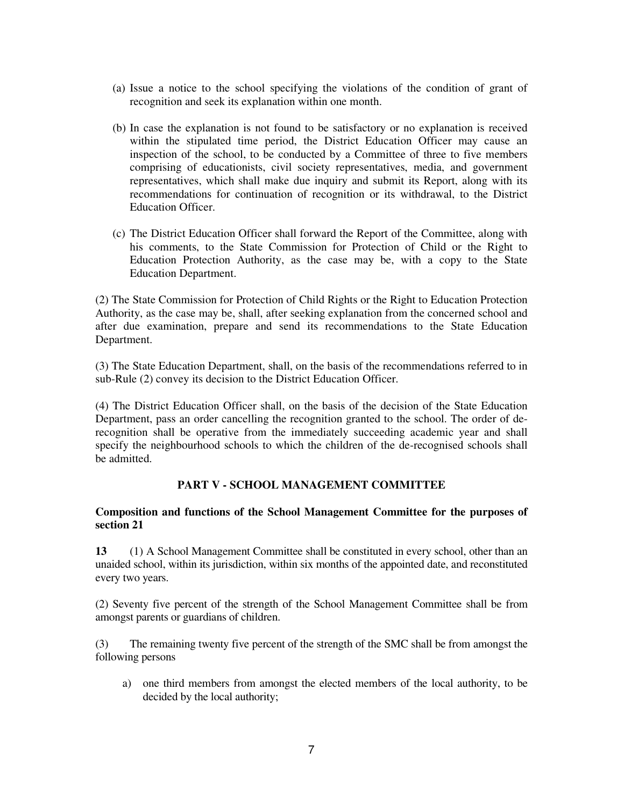- (a) Issue a notice to the school specifying the violations of the condition of grant of recognition and seek its explanation within one month.
- (b) In case the explanation is not found to be satisfactory or no explanation is received within the stipulated time period, the District Education Officer may cause an inspection of the school, to be conducted by a Committee of three to five members comprising of educationists, civil society representatives, media, and government representatives, which shall make due inquiry and submit its Report, along with its recommendations for continuation of recognition or its withdrawal, to the District Education Officer.
- (c) The District Education Officer shall forward the Report of the Committee, along with his comments, to the State Commission for Protection of Child or the Right to Education Protection Authority, as the case may be, with a copy to the State Education Department.

(2) The State Commission for Protection of Child Rights or the Right to Education Protection Authority, as the case may be, shall, after seeking explanation from the concerned school and after due examination, prepare and send its recommendations to the State Education Department.

(3) The State Education Department, shall, on the basis of the recommendations referred to in sub-Rule (2) convey its decision to the District Education Officer.

(4) The District Education Officer shall, on the basis of the decision of the State Education Department, pass an order cancelling the recognition granted to the school. The order of derecognition shall be operative from the immediately succeeding academic year and shall specify the neighbourhood schools to which the children of the de-recognised schools shall be admitted.

### **PART V - SCHOOL MANAGEMENT COMMITTEE**

### **Composition and functions of the School Management Committee for the purposes of section 21**

**13** (1) A School Management Committee shall be constituted in every school, other than an unaided school, within its jurisdiction, within six months of the appointed date, and reconstituted every two years.

(2) Seventy five percent of the strength of the School Management Committee shall be from amongst parents or guardians of children.

(3) The remaining twenty five percent of the strength of the SMC shall be from amongst the following persons

a) one third members from amongst the elected members of the local authority, to be decided by the local authority;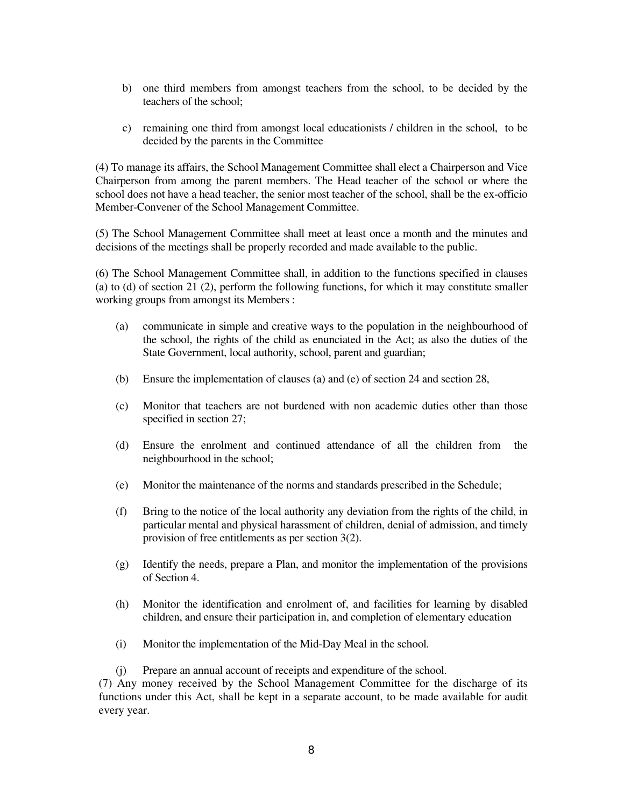- b) one third members from amongst teachers from the school, to be decided by the teachers of the school;
- c) remaining one third from amongst local educationists / children in the school, to be decided by the parents in the Committee

(4) To manage its affairs, the School Management Committee shall elect a Chairperson and Vice Chairperson from among the parent members. The Head teacher of the school or where the school does not have a head teacher, the senior most teacher of the school, shall be the ex-officio Member-Convener of the School Management Committee.

(5) The School Management Committee shall meet at least once a month and the minutes and decisions of the meetings shall be properly recorded and made available to the public.

(6) The School Management Committee shall, in addition to the functions specified in clauses (a) to (d) of section 21 (2), perform the following functions, for which it may constitute smaller working groups from amongst its Members :

- (a) communicate in simple and creative ways to the population in the neighbourhood of the school, the rights of the child as enunciated in the Act; as also the duties of the State Government, local authority, school, parent and guardian;
- (b) Ensure the implementation of clauses (a) and (e) of section 24 and section 28,
- (c) Monitor that teachers are not burdened with non academic duties other than those specified in section 27;
- (d) Ensure the enrolment and continued attendance of all the children from the neighbourhood in the school;
- (e) Monitor the maintenance of the norms and standards prescribed in the Schedule;
- (f) Bring to the notice of the local authority any deviation from the rights of the child, in particular mental and physical harassment of children, denial of admission, and timely provision of free entitlements as per section 3(2).
- (g) Identify the needs, prepare a Plan, and monitor the implementation of the provisions of Section 4.
- (h) Monitor the identification and enrolment of, and facilities for learning by disabled children, and ensure their participation in, and completion of elementary education
- (i) Monitor the implementation of the Mid-Day Meal in the school.
- (j) Prepare an annual account of receipts and expenditure of the school.

(7) Any money received by the School Management Committee for the discharge of its functions under this Act, shall be kept in a separate account, to be made available for audit every year.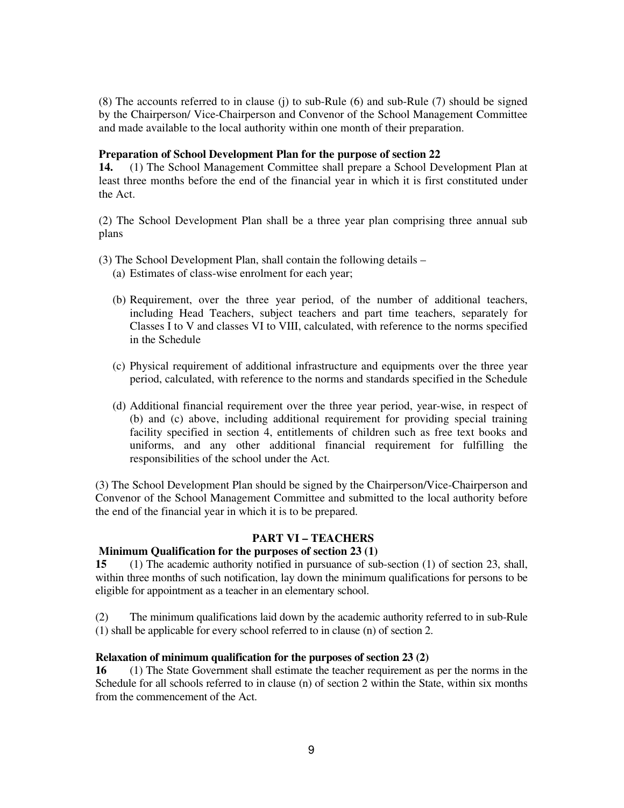(8) The accounts referred to in clause (j) to sub-Rule (6) and sub-Rule (7) should be signed by the Chairperson/ Vice-Chairperson and Convenor of the School Management Committee and made available to the local authority within one month of their preparation.

### **Preparation of School Development Plan for the purpose of section 22**

**14.** (1) The School Management Committee shall prepare a School Development Plan at least three months before the end of the financial year in which it is first constituted under the Act.

(2) The School Development Plan shall be a three year plan comprising three annual sub plans

- (3) The School Development Plan, shall contain the following details
	- (a) Estimates of class-wise enrolment for each year;
	- (b) Requirement, over the three year period, of the number of additional teachers, including Head Teachers, subject teachers and part time teachers, separately for Classes I to V and classes VI to VIII, calculated, with reference to the norms specified in the Schedule
	- (c) Physical requirement of additional infrastructure and equipments over the three year period, calculated, with reference to the norms and standards specified in the Schedule
	- (d) Additional financial requirement over the three year period, year-wise, in respect of (b) and (c) above, including additional requirement for providing special training facility specified in section 4, entitlements of children such as free text books and uniforms, and any other additional financial requirement for fulfilling the responsibilities of the school under the Act.

(3) The School Development Plan should be signed by the Chairperson/Vice-Chairperson and Convenor of the School Management Committee and submitted to the local authority before the end of the financial year in which it is to be prepared.

#### **PART VI – TEACHERS**

#### **Minimum Qualification for the purposes of section 23 (1)**

**15** (1) The academic authority notified in pursuance of sub-section (1) of section 23, shall, within three months of such notification, lay down the minimum qualifications for persons to be eligible for appointment as a teacher in an elementary school.

(2) The minimum qualifications laid down by the academic authority referred to in sub-Rule (1) shall be applicable for every school referred to in clause (n) of section 2.

#### **Relaxation of minimum qualification for the purposes of section 23 (2)**

**16** (1) The State Government shall estimate the teacher requirement as per the norms in the Schedule for all schools referred to in clause (n) of section 2 within the State, within six months from the commencement of the Act.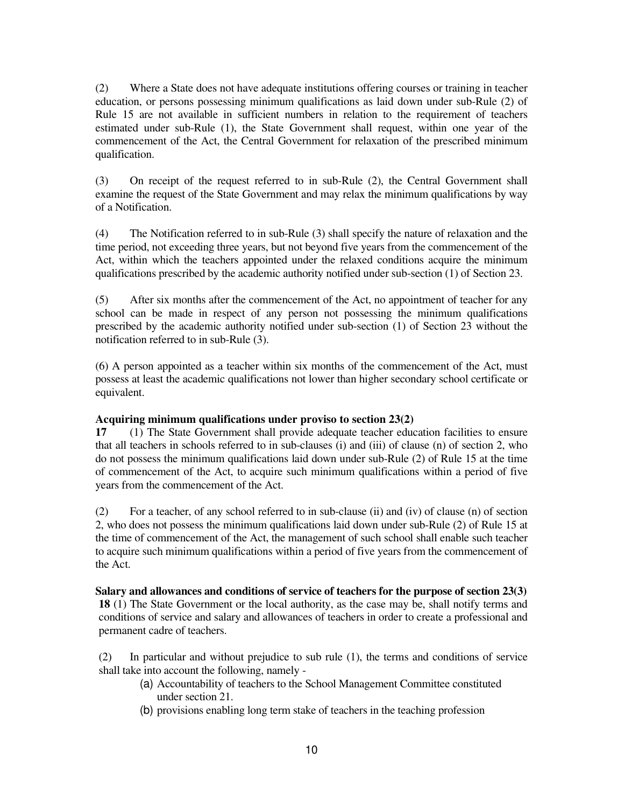(2) Where a State does not have adequate institutions offering courses or training in teacher education, or persons possessing minimum qualifications as laid down under sub-Rule (2) of Rule 15 are not available in sufficient numbers in relation to the requirement of teachers estimated under sub-Rule (1), the State Government shall request, within one year of the commencement of the Act, the Central Government for relaxation of the prescribed minimum qualification.

(3) On receipt of the request referred to in sub-Rule (2), the Central Government shall examine the request of the State Government and may relax the minimum qualifications by way of a Notification.

(4) The Notification referred to in sub-Rule (3) shall specify the nature of relaxation and the time period, not exceeding three years, but not beyond five years from the commencement of the Act, within which the teachers appointed under the relaxed conditions acquire the minimum qualifications prescribed by the academic authority notified under sub-section (1) of Section 23.

(5) After six months after the commencement of the Act, no appointment of teacher for any school can be made in respect of any person not possessing the minimum qualifications prescribed by the academic authority notified under sub-section (1) of Section 23 without the notification referred to in sub-Rule (3).

(6) A person appointed as a teacher within six months of the commencement of the Act, must possess at least the academic qualifications not lower than higher secondary school certificate or equivalent.

### **Acquiring minimum qualifications under proviso to section 23(2)**

**17** (1) The State Government shall provide adequate teacher education facilities to ensure that all teachers in schools referred to in sub-clauses (i) and (iii) of clause (n) of section 2, who do not possess the minimum qualifications laid down under sub-Rule (2) of Rule 15 at the time of commencement of the Act, to acquire such minimum qualifications within a period of five years from the commencement of the Act.

(2) For a teacher, of any school referred to in sub-clause (ii) and (iv) of clause (n) of section 2, who does not possess the minimum qualifications laid down under sub-Rule (2) of Rule 15 at the time of commencement of the Act, the management of such school shall enable such teacher to acquire such minimum qualifications within a period of five years from the commencement of the Act.

**Salary and allowances and conditions of service of teachers for the purpose of section 23(3) 18** (1) The State Government or the local authority, as the case may be, shall notify terms and conditions of service and salary and allowances of teachers in order to create a professional and permanent cadre of teachers.

(2) In particular and without prejudice to sub rule (1), the terms and conditions of service shall take into account the following, namely -

- (a) Accountability of teachers to the School Management Committee constituted under section 21.
- (b) provisions enabling long term stake of teachers in the teaching profession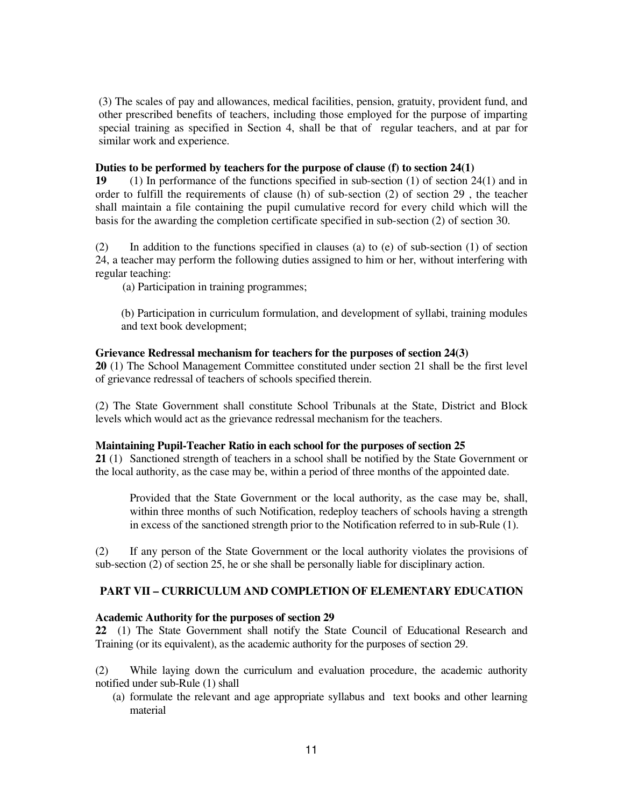(3) The scales of pay and allowances, medical facilities, pension, gratuity, provident fund, and other prescribed benefits of teachers, including those employed for the purpose of imparting special training as specified in Section 4, shall be that of regular teachers, and at par for similar work and experience.

#### **Duties to be performed by teachers for the purpose of clause (f) to section 24(1)**

**19** (1) In performance of the functions specified in sub-section (1) of section 24(1) and in order to fulfill the requirements of clause (h) of sub-section (2) of section 29 , the teacher shall maintain a file containing the pupil cumulative record for every child which will the basis for the awarding the completion certificate specified in sub-section (2) of section 30.

(2) In addition to the functions specified in clauses (a) to (e) of sub-section (1) of section 24, a teacher may perform the following duties assigned to him or her, without interfering with regular teaching:

(a) Participation in training programmes;

(b) Participation in curriculum formulation, and development of syllabi, training modules and text book development;

### **Grievance Redressal mechanism for teachers for the purposes of section 24(3)**

**20** (1) The School Management Committee constituted under section 21 shall be the first level of grievance redressal of teachers of schools specified therein.

(2) The State Government shall constitute School Tribunals at the State, District and Block levels which would act as the grievance redressal mechanism for the teachers.

#### **Maintaining Pupil-Teacher Ratio in each school for the purposes of section 25**

**21** (1) Sanctioned strength of teachers in a school shall be notified by the State Government or the local authority, as the case may be, within a period of three months of the appointed date.

Provided that the State Government or the local authority, as the case may be, shall, within three months of such Notification, redeploy teachers of schools having a strength in excess of the sanctioned strength prior to the Notification referred to in sub-Rule (1).

(2) If any person of the State Government or the local authority violates the provisions of sub-section (2) of section 25, he or she shall be personally liable for disciplinary action.

### **PART VII – CURRICULUM AND COMPLETION OF ELEMENTARY EDUCATION**

### **Academic Authority for the purposes of section 29**

**22** (1) The State Government shall notify the State Council of Educational Research and Training (or its equivalent), as the academic authority for the purposes of section 29.

(2) While laying down the curriculum and evaluation procedure, the academic authority notified under sub-Rule (1) shall

(a) formulate the relevant and age appropriate syllabus and text books and other learning material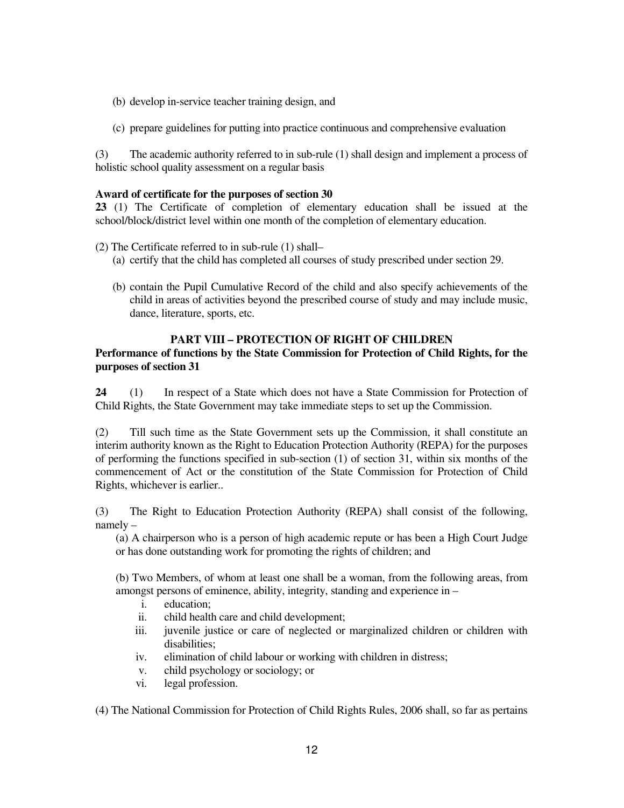- (b) develop in-service teacher training design, and
- (c) prepare guidelines for putting into practice continuous and comprehensive evaluation

(3) The academic authority referred to in sub-rule (1) shall design and implement a process of holistic school quality assessment on a regular basis

### **Award of certificate for the purposes of section 30**

**23** (1) The Certificate of completion of elementary education shall be issued at the school/block/district level within one month of the completion of elementary education.

- (2) The Certificate referred to in sub-rule (1) shall–
	- (a) certify that the child has completed all courses of study prescribed under section 29.
	- (b) contain the Pupil Cumulative Record of the child and also specify achievements of the child in areas of activities beyond the prescribed course of study and may include music, dance, literature, sports, etc.

## **PART VIII – PROTECTION OF RIGHT OF CHILDREN**

### **Performance of functions by the State Commission for Protection of Child Rights, for the purposes of section 31**

**24** (1) In respect of a State which does not have a State Commission for Protection of Child Rights, the State Government may take immediate steps to set up the Commission.

(2) Till such time as the State Government sets up the Commission, it shall constitute an interim authority known as the Right to Education Protection Authority (REPA) for the purposes of performing the functions specified in sub-section (1) of section 31, within six months of the commencement of Act or the constitution of the State Commission for Protection of Child Rights, whichever is earlier..

(3) The Right to Education Protection Authority (REPA) shall consist of the following, namely –

(a) A chairperson who is a person of high academic repute or has been a High Court Judge or has done outstanding work for promoting the rights of children; and

(b) Two Members, of whom at least one shall be a woman, from the following areas, from amongst persons of eminence, ability, integrity, standing and experience in –

- i. education;
- ii. child health care and child development;
- iii. juvenile justice or care of neglected or marginalized children or children with disabilities;
- iv. elimination of child labour or working with children in distress;
- v. child psychology or sociology; or
- vi. legal profession.

(4) The National Commission for Protection of Child Rights Rules, 2006 shall, so far as pertains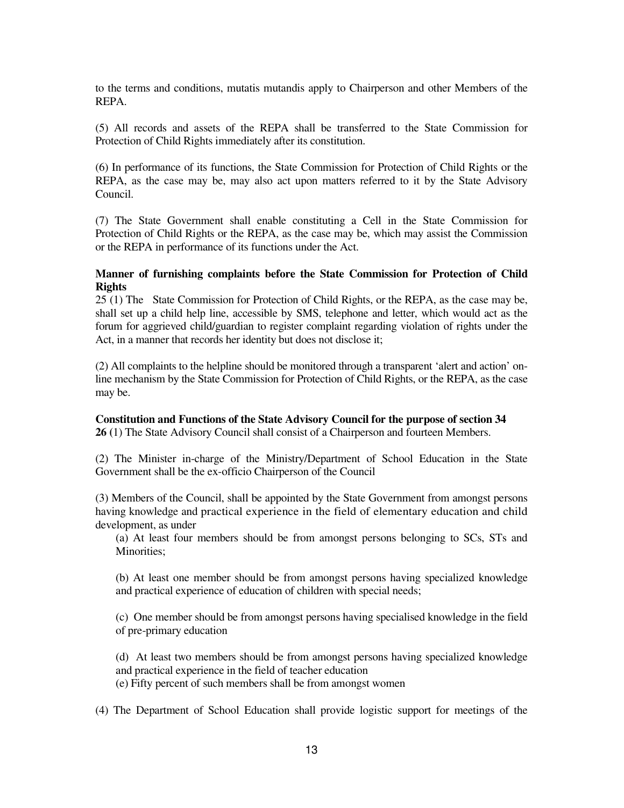to the terms and conditions, mutatis mutandis apply to Chairperson and other Members of the REPA.

(5) All records and assets of the REPA shall be transferred to the State Commission for Protection of Child Rights immediately after its constitution.

(6) In performance of its functions, the State Commission for Protection of Child Rights or the REPA, as the case may be, may also act upon matters referred to it by the State Advisory Council.

(7) The State Government shall enable constituting a Cell in the State Commission for Protection of Child Rights or the REPA, as the case may be, which may assist the Commission or the REPA in performance of its functions under the Act.

### **Manner of furnishing complaints before the State Commission for Protection of Child Rights**

25 (1) The State Commission for Protection of Child Rights, or the REPA, as the case may be, shall set up a child help line, accessible by SMS, telephone and letter, which would act as the forum for aggrieved child/guardian to register complaint regarding violation of rights under the Act, in a manner that records her identity but does not disclose it;

(2) All complaints to the helpline should be monitored through a transparent 'alert and action' online mechanism by the State Commission for Protection of Child Rights, or the REPA, as the case may be.

**Constitution and Functions of the State Advisory Council for the purpose of section 34 26 (**1) The State Advisory Council shall consist of a Chairperson and fourteen Members.

(2) The Minister in-charge of the Ministry/Department of School Education in the State Government shall be the ex-officio Chairperson of the Council

(3) Members of the Council, shall be appointed by the State Government from amongst persons having knowledge and practical experience in the field of elementary education and child development, as under

(a) At least four members should be from amongst persons belonging to SCs, STs and Minorities;

(b) At least one member should be from amongst persons having specialized knowledge and practical experience of education of children with special needs;

(c) One member should be from amongst persons having specialised knowledge in the field of pre-primary education

(d) At least two members should be from amongst persons having specialized knowledge and practical experience in the field of teacher education

(e) Fifty percent of such members shall be from amongst women

(4) The Department of School Education shall provide logistic support for meetings of the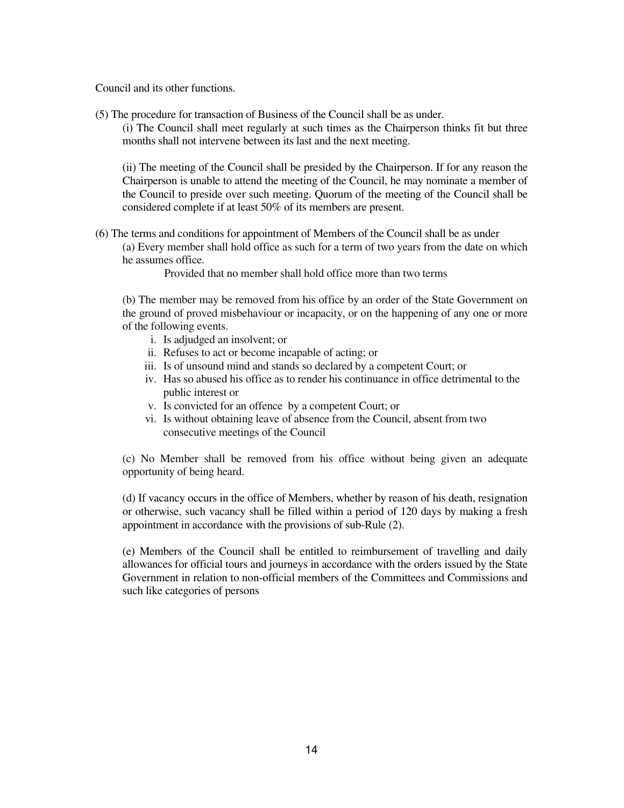Council and its other functions.

(5) The procedure for transaction of Business of the Council shall be as under.

(i) The Council shall meet regularly at such times as the Chairperson thinks fit but three months shall not intervene between its last and the next meeting.

(ii) The meeting of the Council shall be presided by the Chairperson. If for any reason the Chairperson is unable to attend the meeting of the Council, he may nominate a member of the Council to preside over such meeting. Quorum of the meeting of the Council shall be considered complete if at least 50% of its members are present.

(6) The terms and conditions for appointment of Members of the Council shall be as under (a) Every member shall hold office as such for a term of two years from the date on which he assumes office.

Provided that no member shall hold office more than two terms

(b) The member may be removed from his office by an order of the State Government on the ground of proved misbehaviour or incapacity, or on the happening of any one or more of the following events.

- i. Is adjudged an insolvent; or
- ii. Refuses to act or become incapable of acting; or
- iii. Is of unsound mind and stands so declared by a competent Court; or
- iv. Has so abused his office as to render his continuance in office detrimental to the public interest or
- v. Is convicted for an offence by a competent Court; or
- vi. Is without obtaining leave of absence from the Council, absent from two consecutive meetings of the Council

(c) No Member shall be removed from his office without being given an adequate opportunity of being heard.

(d) If vacancy occurs in the office of Members, whether by reason of his death, resignation or otherwise, such vacancy shall be filled within a period of 120 days by making a fresh appointment in accordance with the provisions of sub-Rule (2).

(e) Members of the Council shall be entitled to reimbursement of travelling and daily allowances for official tours and journeys in accordance with the orders issued by the State Government in relation to non-official members of the Committees and Commissions and such like categories of persons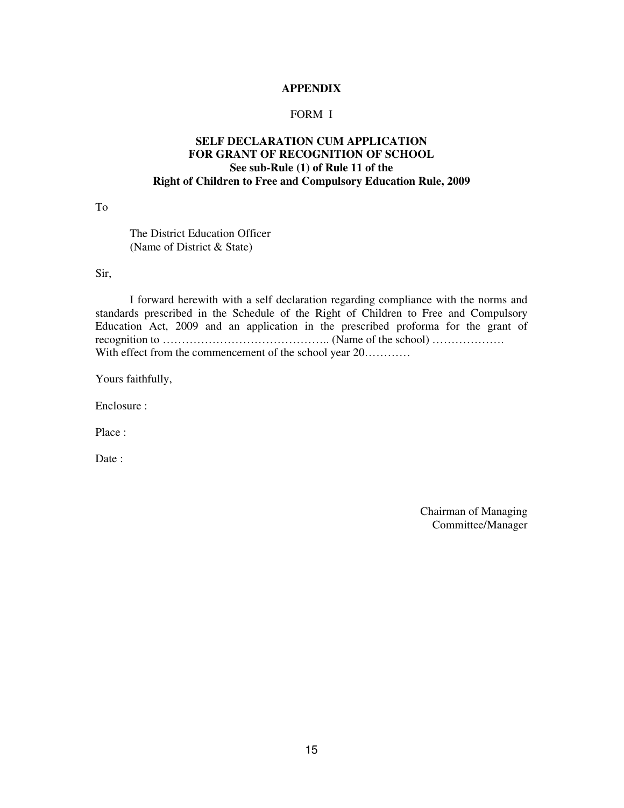### **APPENDIX**

### FORM I

# **SELF DECLARATION CUM APPLICATION FOR GRANT OF RECOGNITION OF SCHOOL See sub-Rule (1) of Rule 11 of the Right of Children to Free and Compulsory Education Rule, 2009**

To

 The District Education Officer (Name of District & State)

Sir,

 I forward herewith with a self declaration regarding compliance with the norms and standards prescribed in the Schedule of the Right of Children to Free and Compulsory Education Act, 2009 and an application in the prescribed proforma for the grant of recognition to …………………………………….. (Name of the school) ………………. With effect from the commencement of the school year  $20$ ..........

Yours faithfully,

Enclosure :

Place :

Date:

Chairman of Managing Committee/Manager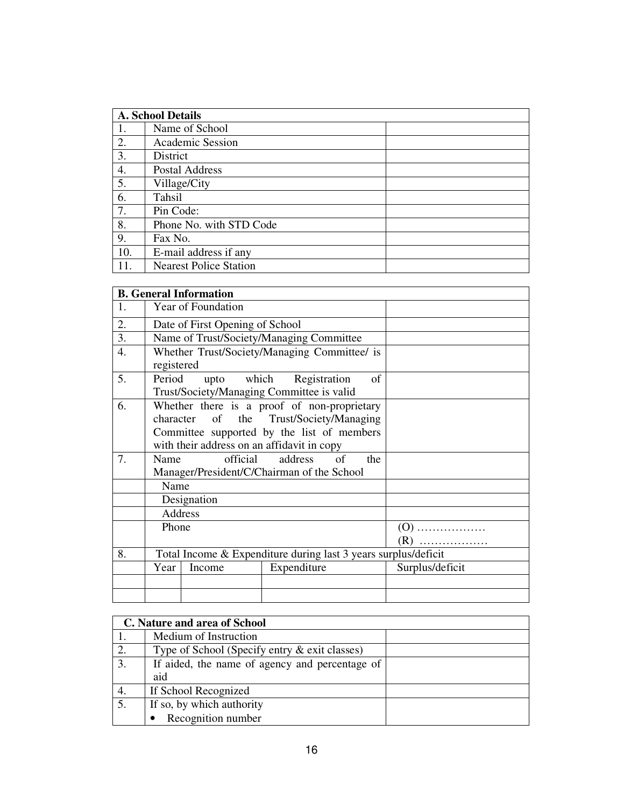|     | <b>A. School Details</b>      |  |  |
|-----|-------------------------------|--|--|
| -1. | Name of School                |  |  |
| 2.  | Academic Session              |  |  |
| 3.  | District                      |  |  |
| 4.  | <b>Postal Address</b>         |  |  |
| 5.  | Village/City                  |  |  |
| 6.  | Tahsil                        |  |  |
| 7.  | Pin Code:                     |  |  |
| 8.  | Phone No. with STD Code       |  |  |
| 9.  | Fax No.                       |  |  |
| 10. | E-mail address if any         |  |  |
|     | <b>Nearest Police Station</b> |  |  |

|    |                                                                                                                                                                                    | <b>B.</b> General Information |                                                                             |                 |
|----|------------------------------------------------------------------------------------------------------------------------------------------------------------------------------------|-------------------------------|-----------------------------------------------------------------------------|-----------------|
| 1. |                                                                                                                                                                                    | Year of Foundation            |                                                                             |                 |
| 2. | Date of First Opening of School                                                                                                                                                    |                               |                                                                             |                 |
| 3. |                                                                                                                                                                                    |                               | Name of Trust/Society/Managing Committee                                    |                 |
| 4. | registered                                                                                                                                                                         |                               | Whether Trust/Society/Managing Committee/ is                                |                 |
| 5. | Period                                                                                                                                                                             |                               | upto which Registration<br>of<br>Trust/Society/Managing Committee is valid  |                 |
| 6. | Whether there is a proof of non-proprietary<br>character of the Trust/Society/Managing<br>Committee supported by the list of members<br>with their address on an affidavit in copy |                               |                                                                             |                 |
| 7. | Name                                                                                                                                                                               |                               | of<br>official address<br>the<br>Manager/President/C/Chairman of the School |                 |
|    | Name                                                                                                                                                                               |                               |                                                                             |                 |
|    |                                                                                                                                                                                    | Designation                   |                                                                             |                 |
|    | Address                                                                                                                                                                            |                               |                                                                             |                 |
|    | Phone                                                                                                                                                                              |                               |                                                                             | $(0)$<br>$(R)$  |
| 8. | Total Income & Expenditure during last 3 years surplus/deficit                                                                                                                     |                               |                                                                             |                 |
|    | Year                                                                                                                                                                               | Income                        | Expenditure                                                                 | Surplus/deficit |
|    |                                                                                                                                                                                    |                               |                                                                             |                 |
|    |                                                                                                                                                                                    |                               |                                                                             |                 |

| C. Nature and area of School |                                                |  |  |
|------------------------------|------------------------------------------------|--|--|
|                              | Medium of Instruction                          |  |  |
| 2.                           | Type of School (Specify entry & exit classes)  |  |  |
| 3.                           | If aided, the name of agency and percentage of |  |  |
|                              | aid                                            |  |  |
| 4.                           | If School Recognized                           |  |  |
|                              | If so, by which authority                      |  |  |
|                              | Recognition number                             |  |  |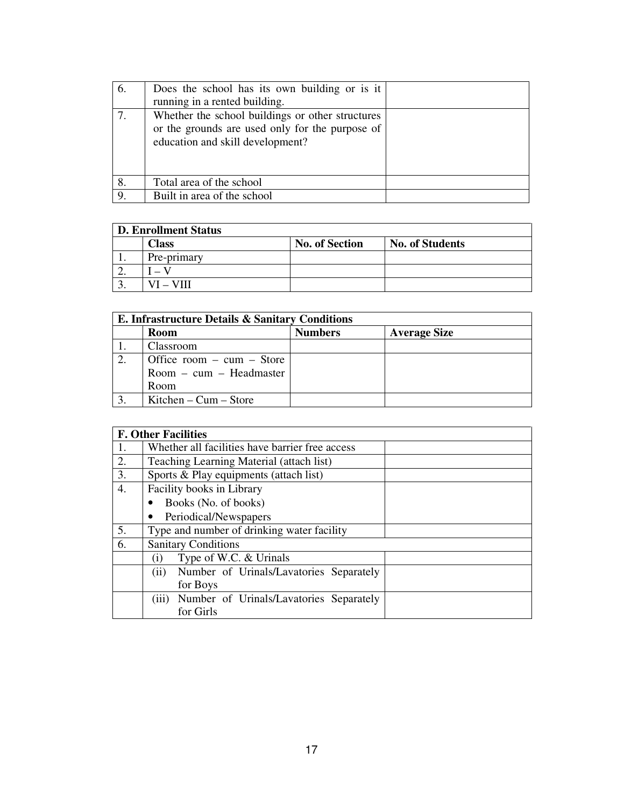| 6. | Does the school has its own building or is it    |  |
|----|--------------------------------------------------|--|
|    | running in a rented building.                    |  |
|    | Whether the school buildings or other structures |  |
|    | or the grounds are used only for the purpose of  |  |
|    | education and skill development?                 |  |
|    |                                                  |  |
|    |                                                  |  |
| 8. | Total area of the school                         |  |
| 9. | Built in area of the school                      |  |

# **D. Enrollment Status**

|          | <b>Class</b> | <b>No. of Section</b> | <b>No. of Students</b> |
|----------|--------------|-----------------------|------------------------|
| . .      | Pre-primary  |                       |                        |
| <u>.</u> |              |                       |                        |
|          | $-$ VIII     |                       |                        |

٦

| E. Infrastructure Details & Sanitary Conditions |                               |                |                     |
|-------------------------------------------------|-------------------------------|----------------|---------------------|
|                                                 | Room                          | <b>Numbers</b> | <b>Average Size</b> |
|                                                 | Classroom                     |                |                     |
| 2.                                              | Office room $-$ cum $-$ Store |                |                     |
|                                                 | $Room - cum - Headmaster$     |                |                     |
|                                                 | Room                          |                |                     |
|                                                 | Kitchen – $Cum - Store$       |                |                     |

|    | <b>F. Other Facilities</b>                       |  |  |
|----|--------------------------------------------------|--|--|
| 1. | Whether all facilities have barrier free access  |  |  |
| 2. | Teaching Learning Material (attach list)         |  |  |
| 3. | Sports & Play equipments (attach list)           |  |  |
| 4. | Facility books in Library                        |  |  |
|    | Books (No. of books)                             |  |  |
|    | Periodical/Newspapers                            |  |  |
| 5. | Type and number of drinking water facility       |  |  |
| 6. | <b>Sanitary Conditions</b>                       |  |  |
|    | Type of W.C. & Urinals<br>$\rm(i)$               |  |  |
|    | Number of Urinals/Lavatories Separately<br>(ii)  |  |  |
|    | for Boys                                         |  |  |
|    | (iii)<br>Number of Urinals/Lavatories Separately |  |  |
|    | for Girls                                        |  |  |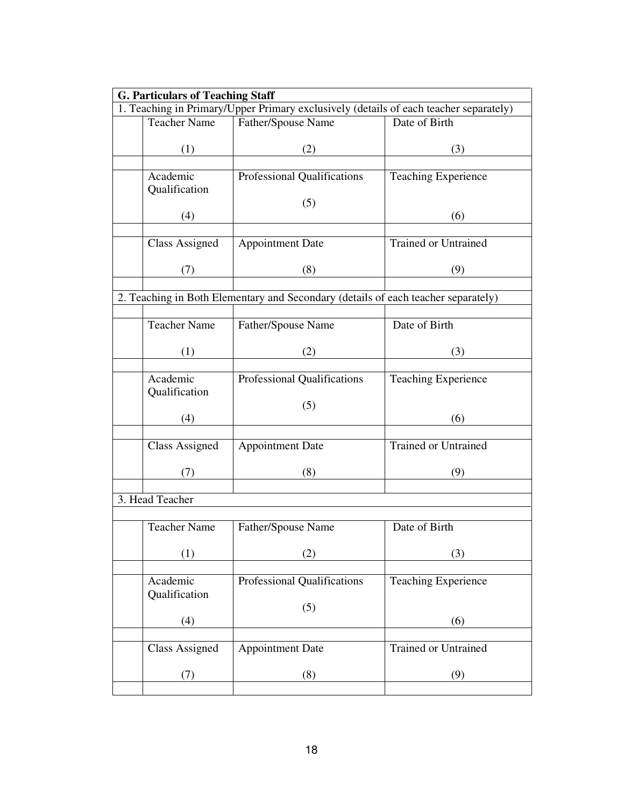|                                                                                       | <b>G. Particulars of Teaching Staff</b> |                                                                                   |                             |  |
|---------------------------------------------------------------------------------------|-----------------------------------------|-----------------------------------------------------------------------------------|-----------------------------|--|
| 1. Teaching in Primary/Upper Primary exclusively (details of each teacher separately) |                                         |                                                                                   |                             |  |
|                                                                                       | <b>Teacher Name</b>                     | Father/Spouse Name                                                                | Date of Birth               |  |
|                                                                                       |                                         |                                                                                   |                             |  |
|                                                                                       | (1)                                     | (2)                                                                               | (3)                         |  |
|                                                                                       | Academic                                | Professional Qualifications                                                       | <b>Teaching Experience</b>  |  |
|                                                                                       | Qualification                           |                                                                                   |                             |  |
|                                                                                       |                                         | (5)                                                                               |                             |  |
|                                                                                       | (4)                                     |                                                                                   | (6)                         |  |
|                                                                                       |                                         |                                                                                   |                             |  |
|                                                                                       | <b>Class Assigned</b>                   | <b>Appointment Date</b>                                                           | <b>Trained or Untrained</b> |  |
|                                                                                       |                                         |                                                                                   |                             |  |
|                                                                                       | (7)                                     | (8)                                                                               | (9)                         |  |
|                                                                                       |                                         |                                                                                   |                             |  |
|                                                                                       |                                         | 2. Teaching in Both Elementary and Secondary (details of each teacher separately) |                             |  |
|                                                                                       |                                         |                                                                                   |                             |  |
|                                                                                       | <b>Teacher Name</b>                     | Father/Spouse Name                                                                | Date of Birth               |  |
|                                                                                       | (1)                                     | (2)                                                                               | (3)                         |  |
|                                                                                       |                                         |                                                                                   |                             |  |
|                                                                                       | Academic                                | Professional Qualifications                                                       | <b>Teaching Experience</b>  |  |
|                                                                                       | Qualification                           |                                                                                   |                             |  |
|                                                                                       |                                         | (5)                                                                               |                             |  |
|                                                                                       | (4)                                     |                                                                                   | (6)                         |  |
|                                                                                       |                                         |                                                                                   |                             |  |
|                                                                                       | <b>Class Assigned</b>                   | <b>Appointment Date</b>                                                           | Trained or Untrained        |  |
|                                                                                       |                                         |                                                                                   |                             |  |
|                                                                                       | (7)                                     | (8)                                                                               | (9)                         |  |
|                                                                                       | 3. Head Teacher                         |                                                                                   |                             |  |
|                                                                                       |                                         |                                                                                   |                             |  |
|                                                                                       | <b>Teacher Name</b>                     | Father/Spouse Name                                                                | Date of Birth               |  |
|                                                                                       |                                         |                                                                                   |                             |  |
|                                                                                       | (1)                                     | (2)                                                                               | (3)                         |  |
|                                                                                       |                                         |                                                                                   |                             |  |
|                                                                                       | Academic                                | Professional Qualifications                                                       | <b>Teaching Experience</b>  |  |
|                                                                                       | Qualification                           |                                                                                   |                             |  |
|                                                                                       |                                         | (5)                                                                               |                             |  |
|                                                                                       | (4)                                     |                                                                                   | (6)                         |  |
|                                                                                       |                                         |                                                                                   |                             |  |
|                                                                                       | <b>Class Assigned</b>                   | <b>Appointment Date</b>                                                           | <b>Trained or Untrained</b> |  |
|                                                                                       |                                         |                                                                                   |                             |  |
|                                                                                       | (7)                                     | (8)                                                                               | (9)                         |  |
|                                                                                       |                                         |                                                                                   |                             |  |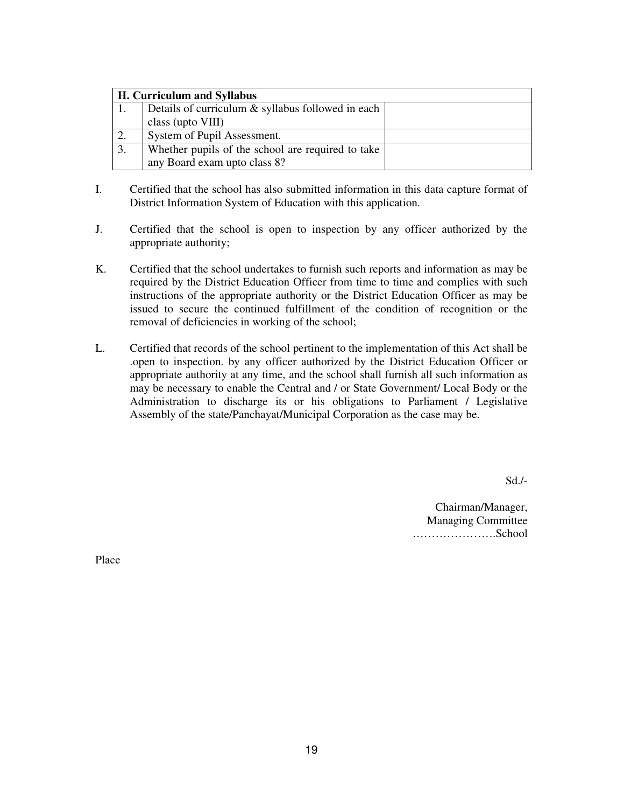|    | H. Curriculum and Syllabus                        |  |
|----|---------------------------------------------------|--|
|    | Details of curriculum & syllabus followed in each |  |
|    | class (upto VIII)                                 |  |
| 2. | System of Pupil Assessment.                       |  |
| 3. | Whether pupils of the school are required to take |  |
|    | any Board exam upto class 8?                      |  |

- I. Certified that the school has also submitted information in this data capture format of District Information System of Education with this application.
- J. Certified that the school is open to inspection by any officer authorized by the appropriate authority;
- K. Certified that the school undertakes to furnish such reports and information as may be required by the District Education Officer from time to time and complies with such instructions of the appropriate authority or the District Education Officer as may be issued to secure the continued fulfillment of the condition of recognition or the removal of deficiencies in working of the school;
- L. Certified that records of the school pertinent to the implementation of this Act shall be .open to inspection. by any officer authorized by the District Education Officer or appropriate authority at any time, and the school shall furnish all such information as may be necessary to enable the Central and / or State Government/ Local Body or the Administration to discharge its or his obligations to Parliament / Legislative Assembly of the state/Panchayat/Municipal Corporation as the case may be.

Sd./-

Chairman/Manager, Managing Committee ………………….School

Place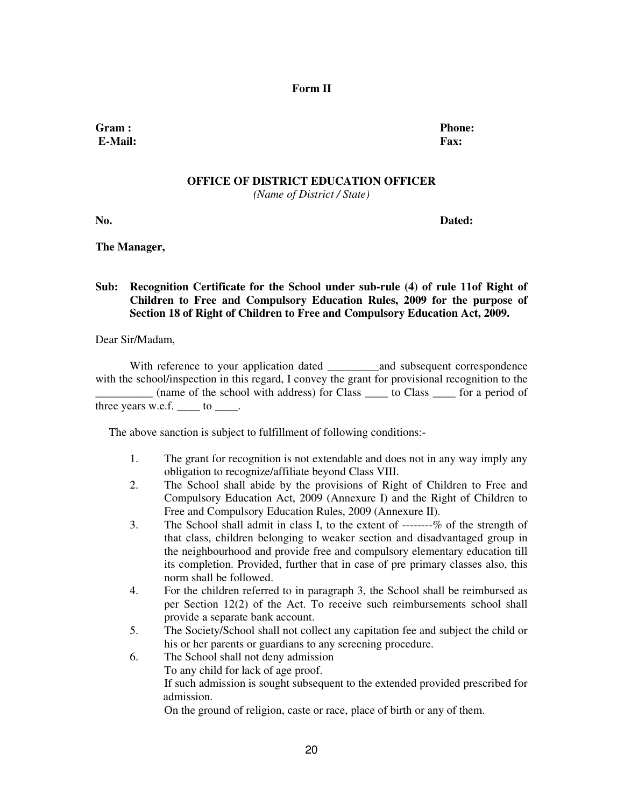#### **Form II**

**Gram : Phone: E-Mail: Fax:** 

# **OFFICE OF DISTRICT EDUCATION OFFICER**

*(Name of District / State)* 

**No. Dated:** 

**The Manager,** 

# **Sub: Recognition Certificate for the School under sub-rule (4) of rule 11of Right of Children to Free and Compulsory Education Rules, 2009 for the purpose of Section 18 of Right of Children to Free and Compulsory Education Act, 2009.**

Dear Sir/Madam,

With reference to your application dated and subsequent correspondence with the school/inspection in this regard, I convey the grant for provisional recognition to the \_\_\_\_\_\_\_\_\_\_ (name of the school with address) for Class \_\_\_\_ to Class \_\_\_\_ for a period of three years w.e.f. to  $\qquad$ .

The above sanction is subject to fulfillment of following conditions:-

- 1. The grant for recognition is not extendable and does not in any way imply any obligation to recognize/affiliate beyond Class VIII.
- 2. The School shall abide by the provisions of Right of Children to Free and Compulsory Education Act, 2009 (Annexure I) and the Right of Children to Free and Compulsory Education Rules, 2009 (Annexure II).
- 3. The School shall admit in class I, to the extent of --------% of the strength of that class, children belonging to weaker section and disadvantaged group in the neighbourhood and provide free and compulsory elementary education till its completion. Provided, further that in case of pre primary classes also, this norm shall be followed.
- 4. For the children referred to in paragraph 3, the School shall be reimbursed as per Section 12(2) of the Act. To receive such reimbursements school shall provide a separate bank account.
- 5. The Society/School shall not collect any capitation fee and subject the child or his or her parents or guardians to any screening procedure.
- 6. The School shall not deny admission To any child for lack of age proof. If such admission is sought subsequent to the extended provided prescribed for admission.

On the ground of religion, caste or race, place of birth or any of them.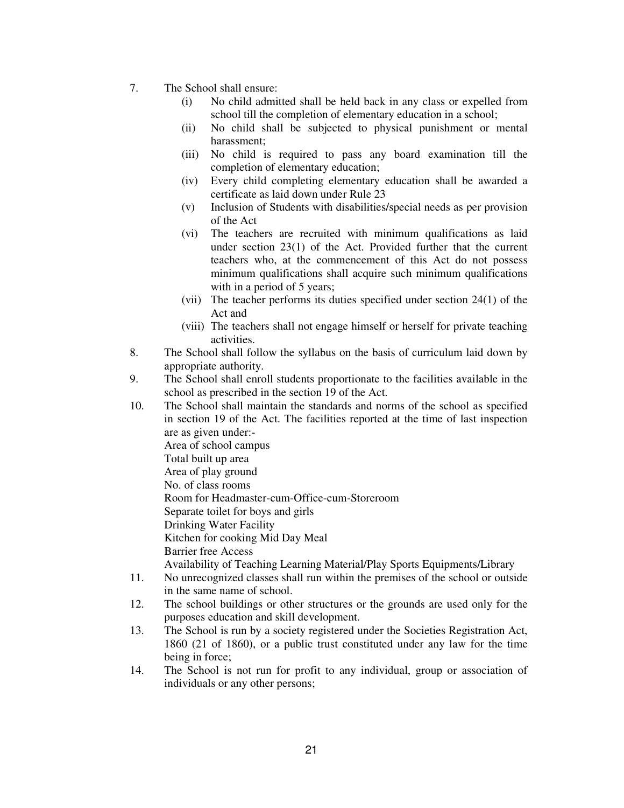- 7. The School shall ensure:
	- (i) No child admitted shall be held back in any class or expelled from school till the completion of elementary education in a school;
	- (ii) No child shall be subjected to physical punishment or mental harassment;
	- (iii) No child is required to pass any board examination till the completion of elementary education;
	- (iv) Every child completing elementary education shall be awarded a certificate as laid down under Rule 23
	- (v) Inclusion of Students with disabilities/special needs as per provision of the Act
	- (vi) The teachers are recruited with minimum qualifications as laid under section 23(1) of the Act. Provided further that the current teachers who, at the commencement of this Act do not possess minimum qualifications shall acquire such minimum qualifications with in a period of 5 years;
	- (vii) The teacher performs its duties specified under section 24(1) of the Act and
	- (viii) The teachers shall not engage himself or herself for private teaching activities.
- 8. The School shall follow the syllabus on the basis of curriculum laid down by appropriate authority.
- 9. The School shall enroll students proportionate to the facilities available in the school as prescribed in the section 19 of the Act.
- 10. The School shall maintain the standards and norms of the school as specified in section 19 of the Act. The facilities reported at the time of last inspection are as given under:- Area of school campus Total built up area Area of play ground No. of class rooms Room for Headmaster-cum-Office-cum-Storeroom Separate toilet for boys and girls Drinking Water Facility Kitchen for cooking Mid Day Meal Barrier free Access Availability of Teaching Learning Material/Play Sports Equipments/Library 11. No unrecognized classes shall run within the premises of the school or outside in the same name of school.
- 12. The school buildings or other structures or the grounds are used only for the purposes education and skill development.
- 13. The School is run by a society registered under the Societies Registration Act, 1860 (21 of 1860), or a public trust constituted under any law for the time being in force;
- 14. The School is not run for profit to any individual, group or association of individuals or any other persons;